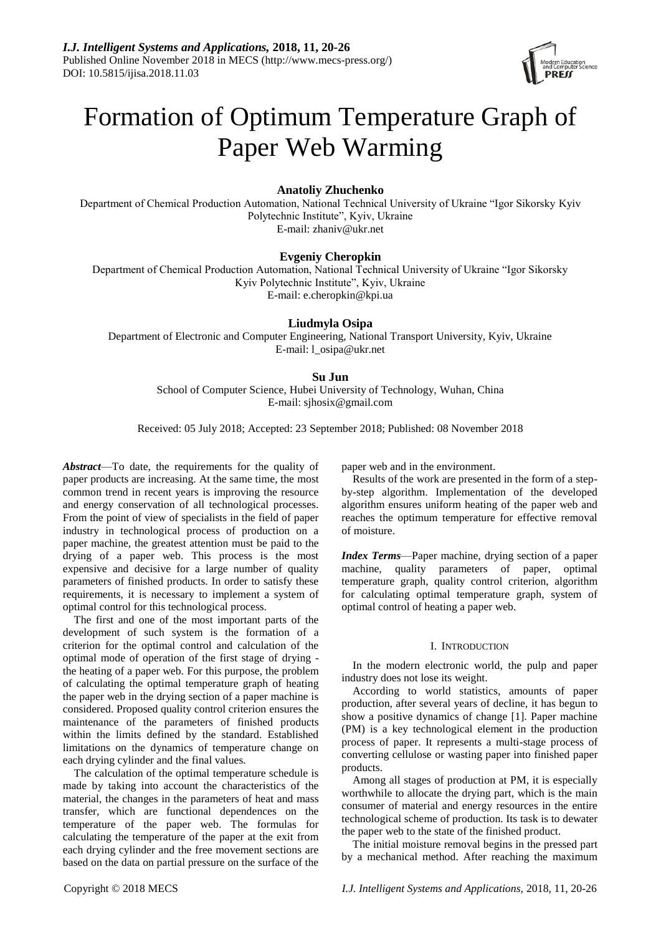

# Formation of Optimum Temperature Graph of Paper Web Warming

# **Anatoliy Zhuchenko**

Department of Chemical Production Automation, National Technical University of Ukraine "Igor Sikorsky Kyiv Polytechnic Institute", Kyiv, Ukraine E-mail: zhaniv@ukr.net

## **Evgeniy Cheropkin**

Department of Chemical Production Automation, National Technical University of Ukraine "Igor Sikorsky Kyiv Polytechnic Institute", Kyiv, Ukraine E-mail: e.cheropkin@kpi.ua

# **Liudmyla Osipa**

Department of Electronic and Computer Engineering, National Transport University, Kyiv, Ukraine E-mail: l\_osipa@ukr.net

## **Su Jun**

School of Computer Science, Hubei University of Technology, Wuhan, China E-mail: sjhosix@gmail.com

Received: 05 July 2018; Accepted: 23 September 2018; Published: 08 November 2018

*Abstract*—To date, the requirements for the quality of paper products are increasing. At the same time, the most common trend in recent years is improving the resource and energy conservation of all technological processes. From the point of view of specialists in the field of paper industry in technological process of production on a paper machine, the greatest attention must be paid to the drying of a paper web. This process is the most expensive and decisive for a large number of quality parameters of finished products. In order to satisfy these requirements, it is necessary to implement a system of optimal control for this technological process.

The first and one of the most important parts of the development of such system is the formation of a criterion for the optimal control and calculation of the optimal mode of operation of the first stage of drying the heating of a paper web. For this purpose, the problem of calculating the optimal temperature graph of heating the paper web in the drying section of a paper machine is considered. Proposed quality control criterion ensures the maintenance of the parameters of finished products within the limits defined by the standard. Established limitations on the dynamics of temperature change on each drying cylinder and the final values.

The calculation of the optimal temperature schedule is made by taking into account the characteristics of the material, the changes in the parameters of heat and mass transfer, which are functional dependences on the temperature of the paper web. The formulas for calculating the temperature of the paper at the exit from each drying cylinder and the free movement sections are based on the data on partial pressure on the surface of the

paper web and in the environment.

Results of the work are presented in the form of a stepby-step algorithm. Implementation of the developed algorithm ensures uniform heating of the paper web and reaches the optimum temperature for effective removal of moisture.

*Index Terms*—Paper machine, drying section of a paper machine, quality parameters of paper, optimal temperature graph, quality control criterion, algorithm for calculating optimal temperature graph, system of optimal control of heating a paper web.

## I. INTRODUCTION

In the modern electronic world, the pulp and paper industry does not lose its weight.

According to world statistics, amounts of paper production, after several years of decline, it has begun to show a positive dynamics of change [1]. Paper machine (PM) is a key technological element in the production process of paper. It represents a multi-stage process of converting cellulose or wasting paper into finished paper products.

Among all stages of production at PM, it is especially worthwhile to allocate the drying part, which is the main consumer of material and energy resources in the entire technological scheme of production. Its task is to dewater the paper web to the state of the finished product.

The initial moisture removal begins in the pressed part by a mechanical method. After reaching the maximum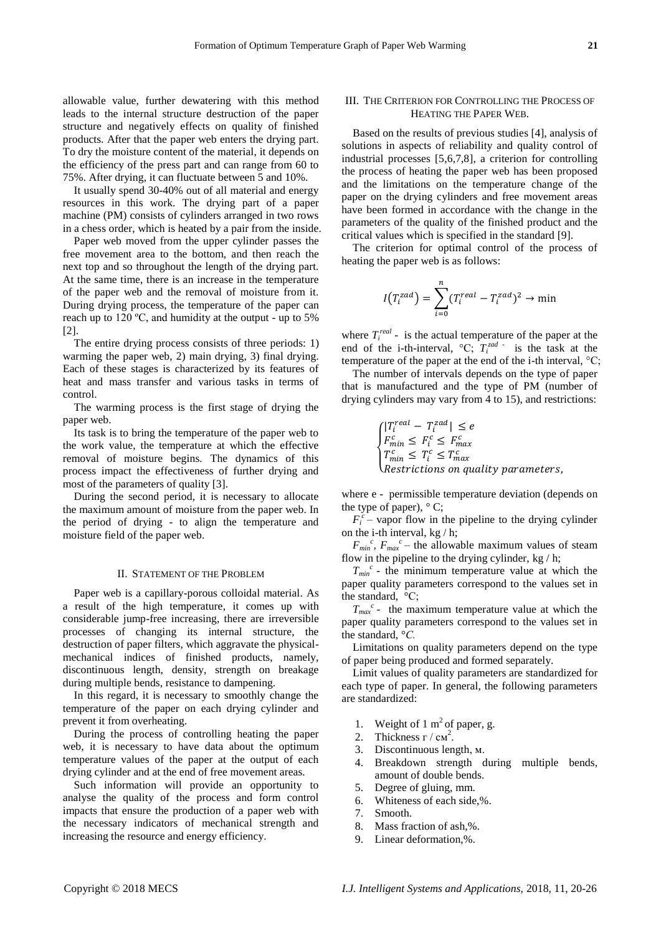allowable value, further dewatering with this method leads to the internal structure destruction of the paper structure and negatively effects on quality of finished products. After that the paper web enters the drying part. To dry the moisture content of the material, it depends on the efficiency of the press part and can range from 60 to 75%. After drying, it can fluctuate between 5 and 10%.

It usually spend 30-40% out of all material and energy resources in this work. The drying part of a paper machine (PM) consists of cylinders arranged in two rows in a chess order, which is heated by a pair from the inside.

Paper web moved from the upper cylinder passes the free movement area to the bottom, and then reach the next top and so throughout the length of the drying part. At the same time, there is an increase in the temperature of the paper web and the removal of moisture from it. During drying process, the temperature of the paper can reach up to 120 ºС, and humidity at the output - up to 5% [2].

The entire drying process consists of three periods: 1) warming the paper web, 2) main drying, 3) final drying. Each of these stages is characterized by its features of heat and mass transfer and various tasks in terms of control.

The warming process is the first stage of drying the paper web.

Its task is to bring the temperature of the paper web to the work value, the temperature at which the effective removal of moisture begins. The dynamics of this process impact the effectiveness of further drying and most of the parameters of quality [3].

During the second period, it is necessary to allocate the maximum amount of moisture from the paper web. In the period of drying - to align the temperature and moisture field of the paper web.

#### II. STATEMENT OF THE PROBLEM

Paper web is a capillary-porous colloidal material. As a result of the high temperature, it comes up with considerable jump-free increasing, there are irreversible processes of changing its internal structure, the destruction of paper filters, which aggravate the physicalmechanical indices of finished products, namely, discontinuous length, density, strength on breakage during multiple bends, resistance to dampening.

In this regard, it is necessary to smoothly change the temperature of the paper on each drying cylinder and prevent it from overheating.

During the process of controlling heating the paper web, it is necessary to have data about the optimum temperature values of the paper at the output of each drying cylinder and at the end of free movement areas.

Such information will provide an opportunity to analyse the quality of the process and form control impacts that ensure the production of a paper web with the necessary indicators of mechanical strength and increasing the resource and energy efficiency.

## III. THE CRITERION FOR CONTROLLING THE PROCESS OF HEATING THE PAPER WEB.

Based on the results of previous studies [4], analysis of solutions in aspects of reliability and quality control of industrial processes [5,6,7,8], a criterion for controlling the process of heating the paper web has been proposed and the limitations on the temperature change of the paper on the drying cylinders and free movement areas have been formed in accordance with the change in the parameters of the quality of the finished product and the critical values which is specified in the standard [9].

The criterion for optimal control of the process of heating the paper web is as follows:

$$
I(T_i^{zad}) = \sum_{i=0}^{n} (T_i^{real} - T_i^{zad})^2 \to \min
$$

where  $T_i^{real}$  - is the actual temperature of the paper at the end of the i-th-interval,  ${}^{\circ}C$ ;  $T_i^{zad}$  *i* is the task at the temperature of the paper at the end of the i-th interval, °С;

The number of intervals depends on the type of paper that is manufactured and the type of PM (number of drying cylinders may vary from 4 to 15), and restrictions:

$$
\begin{cases}\n|T_i^{real} - T_i^{zad}| \leq e \\
F_{min}^c \leq F_i^c \leq F_{max}^c \\
T_{min}^c \leq T_i^c \leq T_{max}^c \\
Restrictions on quality parameters,\n\end{cases}
$$

where e - permissible temperature deviation (depends on the type of paper),  $\degree$ C;

 $F_i^c$  – vapor flow in the pipeline to the drying cylinder on the i-th interval, kg / h;

 $F_{min}^c$ ,  $F_{max}^c$  – the allowable maximum values of steam flow in the pipeline to the drying cylinder,  $kg / h$ ;

 $T_{min}^c$  - the minimum temperature value at which the paper quality parameters correspond to the values set in the standard,  $\mathcal{C}$ ;

 $T_{max}$ <sup>c</sup> - the maximum temperature value at which the paper quality parameters correspond to the values set in the standard, °*С.*

Limitations on quality parameters depend on the type of paper being produced and formed separately.

Limit values of quality parameters are standardized for each type of paper. In general, the following parameters are standardized:

- 1. Weight of  $1 \text{ m}^2$  of paper, g.
- 2. Thickness г / см<sup>2</sup>.
- 3. Discontinuous length, м.
- 4. Breakdown strength during multiple bends, amount of double bends.
- 5. Degree of gluing, mm.
- 6. Whiteness of each side,%.
- 7. Smooth.
- 8. Mass fraction of ash,%.
- 9. Linear deformation,%.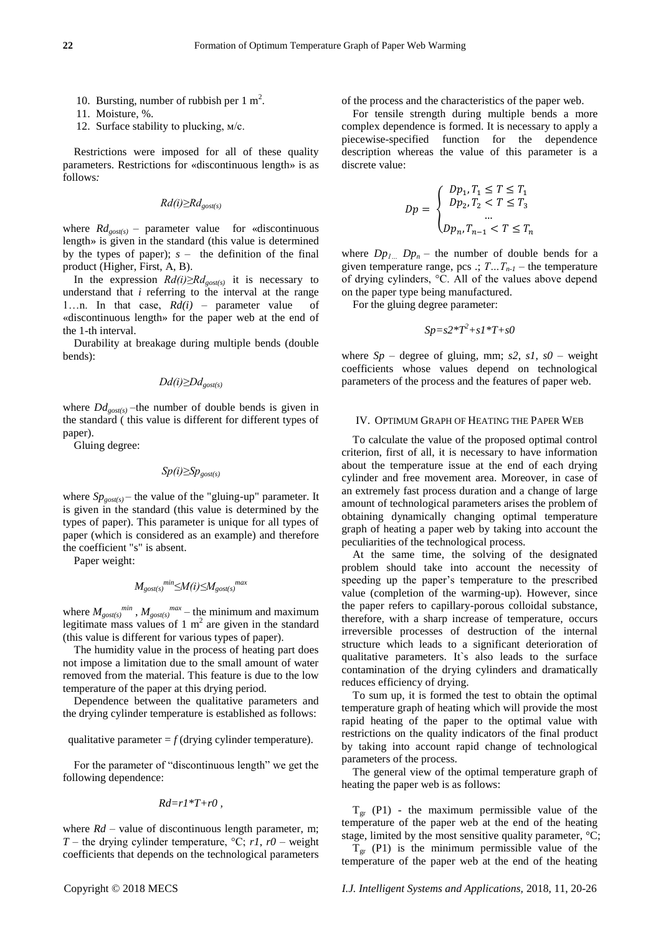- 10. Bursting, number of rubbish per  $1 \text{ m}^2$ .
- 11. Moisture, %.
- 12. Surface stability to plucking, м/с.

Restrictions were imposed for all of these quality parameters. Restrictions for «discontinuous length» is as follows*:*

*Rd(i)≥Rdgost(s)*

where  $Rd_{\text{gost}(s)}$  – parameter value for «discontinuous length» is given in the standard (this value is determined by the types of paper); *s* – the definition of the final product (Higher, First, A, B).

In the expression *Rd(i)≥Rdgost(s)* it is necessary to understand that *i* referring to the interval at the range 1…n. In that case, *Rd(i)* – parameter value of «discontinuous length» for the paper web at the end of the 1-th interval.

Durability at breakage during multiple bends (double bends):

$$
Dd(i)\geq Dd_{\text{gost}(s)}
$$

where  $Dd_{\text{post(s)}}$  –the number of double bends is given in the standard ( this value is different for different types of paper).

Gluing degree:

$$
Sp(i)\ge Sp_{gost(s)}
$$

where  $Sp_{\text{gost}(s)}$  – the value of the "gluing-up" parameter. It is given in the standard (this value is determined by the types of paper). This parameter is unique for all types of paper (which is considered as an example) and therefore the coefficient "s" is absent.

Paper weight:

$$
M_{gost(s)}^{min} \leq M(i) \leq M_{gost(s)}^{max}
$$

where  $M_{gost(s)}^{min}$ ,  $M_{gost(s)}^{max}$  – the minimum and maximum legitimate mass values of 1  $m^2$  are given in the standard (this value is different for various types of paper).

The humidity value in the process of heating part does not impose a limitation due to the small amount of water removed from the material. This feature is due to the low temperature of the paper at this drying period.

Dependence between the qualitative parameters and the drying cylinder temperature is established as follows:

qualitative parameter  $= f$  (drying cylinder temperature).

For the parameter of "discontinuous length" we get the following dependence:

$$
Rd{=}rI^*T{+}r0\,,
$$

where  $Rd$  – value of discontinuous length parameter, m; *T* – the drying cylinder temperature,  ${}^{\circ}C$ ; *r1*, *r0* – weight coefficients that depends on the technological parameters of the process and the characteristics of the paper web.

For tensile strength during multiple bends a more complex dependence is formed. It is necessary to apply a piecewise-specified function for the dependence description whereas the value of this parameter is a discrete value:

$$
Dp = \begin{cases} \nDp_1, T_1 \le T \le T_1 \\ \nDp_2, T_2 < T \le T_3 \\ \n\vdots \\ \nDp_n, T_{n-1} < T \le T_n \n\end{cases}
$$

where  $Dp_1$  *Dp<sub>n</sub>* – the number of double bends for a given temperature range, pcs .;  $T \dots T_{n-1}$  – the temperature of drying cylinders, °С. All of the values above depend on the paper type being manufactured.

For the gluing degree parameter:

$$
Sp = s2*T^2 + sI*T + sO
$$

where  $Sp$  – degree of gluing, mm;  $s2$ ,  $s1$ ,  $s0$  – weight coefficients whose values depend on technological parameters of the process and the features of paper web.

#### IV. OPTIMUM GRAPH OF HEATING THE PAPER WEB

To calculate the value of the proposed optimal control criterion, first of all, it is necessary to have information about the temperature issue at the end of each drying cylinder and free movement area. Moreover, in case of an extremely fast process duration and a change of large amount of technological parameters arises the problem of obtaining dynamically changing optimal temperature graph of heating a paper web by taking into account the peculiarities of the technological process.

At the same time, the solving of the designated problem should take into account the necessity of speeding up the paper's temperature to the prescribed value (completion of the warming-up). However, since the paper refers to capillary-porous colloidal substance, therefore, with a sharp increase of temperature, occurs irreversible processes of destruction of the internal structure which leads to a significant deterioration of qualitative parameters. It`s also leads to the surface contamination of the drying cylinders and dramatically reduces efficiency of drying.

To sum up, it is formed the test to obtain the optimal temperature graph of heating which will provide the most rapid heating of the paper to the optimal value with restrictions on the quality indicators of the final product by taking into account rapid change of technological parameters of the process.

The general view of the optimal temperature graph of heating the paper web is as follows:

 $T_{\text{gr}}$  (P1) - the maximum permissible value of the temperature of the paper web at the end of the heating stage, limited by the most sensitive quality parameter,  $\mathcal{C}$ ;

 $T_{gr}$  (P1) is the minimum permissible value of the temperature of the paper web at the end of the heating

Copyright © 2018 MECS *I.J. Intelligent Systems and Applications,* 2018, 11, 20-26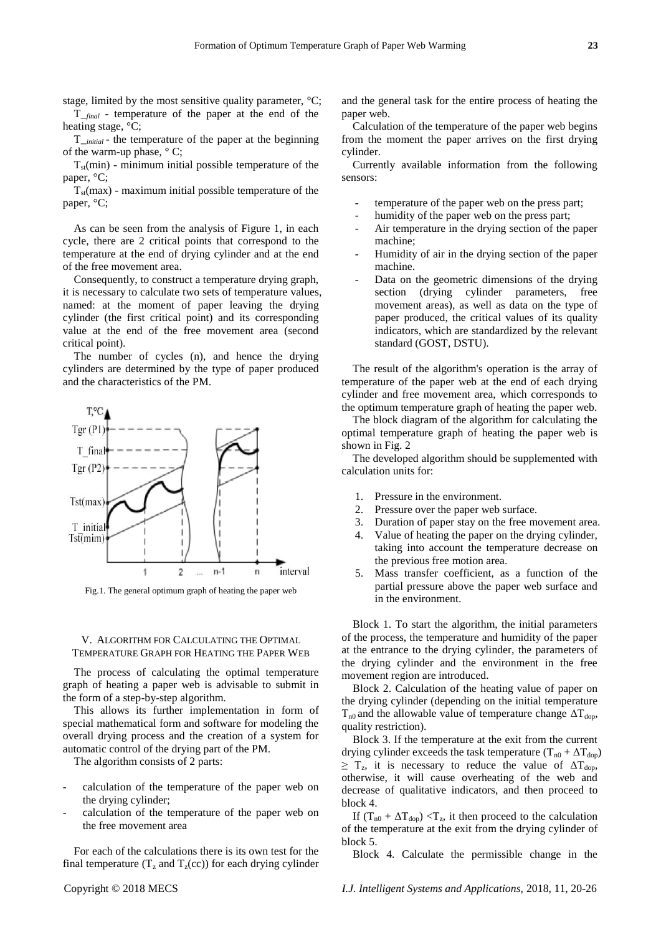stage, limited by the most sensitive quality parameter,  $\mathcal{C}$ ;

T\_*final* - temperature of the paper at the end of the heating stage,  $\mathcal{C}$ ;

T*\_initial* - the temperature of the paper at the beginning of the warm-up phase,  $\degree$ C;

 $T_{st}$ (min) - minimum initial possible temperature of the paper,  $C$ ;

 $T<sub>st</sub>(max)$  - maximum initial possible temperature of the paper,  $C$ ;

As can be seen from the analysis of Figure 1, in each cycle, there are 2 critical points that correspond to the temperature at the end of drying cylinder and at the end of the free movement area.

Consequently, to construct a temperature drying graph, it is necessary to calculate two sets of temperature values, named: at the moment of paper leaving the drying cylinder (the first critical point) and its corresponding value at the end of the free movement area (second critical point).

The number of cycles (n), and hence the drying cylinders are determined by the type of paper produced and the characteristics of the PM.



Fig.1. The general optimum graph of heating the paper web

## V. ALGORITHM FOR CALCULATING THE OPTIMAL TEMPERATURE GRAPH FOR HEATING THE PAPER WEB

The process of calculating the optimal temperature graph of heating a paper web is advisable to submit in the form of a step-by-step algorithm.

This allows its further implementation in form of special mathematical form and software for modeling the overall drying process and the creation of a system for automatic control of the drying part of the PM.

The algorithm consists of 2 parts:

- calculation of the temperature of the paper web on the drying cylinder;
- calculation of the temperature of the paper web on the free movement area

For each of the calculations there is its own test for the final temperature  $(T_z \text{ and } T_z(\text{cc}))$  for each drying cylinder and the general task for the entire process of heating the paper web.

Calculation of the temperature of the paper web begins from the moment the paper arrives on the first drying cylinder.

Currently available information from the following sensors:

- temperature of the paper web on the press part;
- humidity of the paper web on the press part;
- Air temperature in the drying section of the paper machine;
- Humidity of air in the drying section of the paper machine.
- Data on the geometric dimensions of the drying section (drying cylinder parameters, free movement areas), as well as data on the type of paper produced, the critical values of its quality indicators, which are standardized by the relevant standard (GOST, DSTU).

The result of the algorithm's operation is the array of temperature of the paper web at the end of each drying cylinder and free movement area, which corresponds to the optimum temperature graph of heating the paper web.

The block diagram of the algorithm for calculating the optimal temperature graph of heating the paper web is shown in Fig. 2

The developed algorithm should be supplemented with calculation units for:

- 1. Pressure in the environment.
- 2. Pressure over the paper web surface.
- 3. Duration of paper stay on the free movement area.
- 4. Value of heating the paper on the drying cylinder, taking into account the temperature decrease on the previous free motion area.
- 5. Mass transfer coefficient, as a function of the partial pressure above the paper web surface and in the environment.

Block 1. To start the algorithm, the initial parameters of the process, the temperature and humidity of the paper at the entrance to the drying cylinder, the parameters of the drying cylinder and the environment in the free movement region are introduced.

Block 2. Calculation of the heating value of paper on the drying cylinder (depending on the initial temperature  $T_{n0}$  and the allowable value of temperature change  $\Delta T_{don}$ , quality restriction).

Block 3. If the temperature at the exit from the current drying cylinder exceeds the task temperature  $(T_{n0} + \Delta T_{don})$  $\geq T_z$ , it is necessary to reduce the value of  $\Delta T_{\text{dop}}$ , otherwise, it will cause overheating of the web and decrease of qualitative indicators, and then proceed to block 4.

If  $(T_{n0} + \Delta T_{\text{dop}}) < T_z$ , it then proceed to the calculation of the temperature at the exit from the drying cylinder of block 5.

Block 4. Calculate the permissible change in the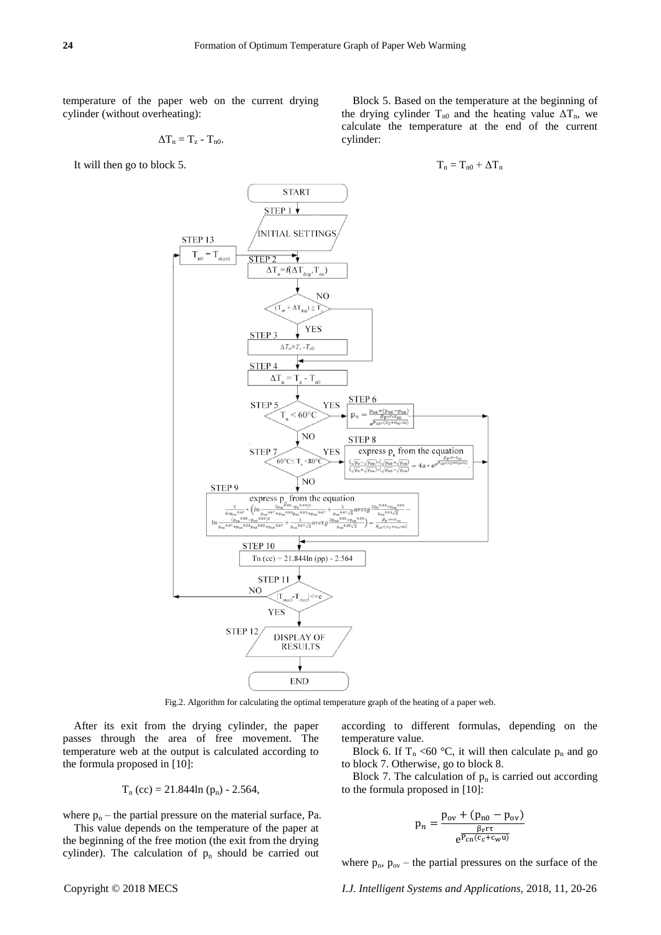temperature of the paper web on the current drying cylinder (without overheating):

$$
\Delta T_n = T_z - T_{n0}.
$$

It will then go to block 5.

Block 5. Based on the temperature at the beginning of the drying cylinder  $T_{n0}$  and the heating value  $\Delta T_n$ , we calculate the temperature at the end of the current cylinder:

$$
T_n = T_{n0} + \Delta T_n
$$



Fig.2. Algorithm for calculating the optimal temperature graph of the heating of a paper web.

After its exit from the drying cylinder, the paper passes through the area of free movement. The temperature web at the output is calculated according to the formula proposed in [10]:

$$
T_n (cc) = 21.844 \ln (p_n) - 2.564,
$$

where  $p_n$  – the partial pressure on the material surface, Pa.

This value depends on the temperature of the paper at the beginning of the free motion (the exit from the drying cylinder). The calculation of  $p_n$  should be carried out according to different formulas, depending on the temperature value.

Block 6. If  $T_n < 60$  °C, it will then calculate  $p_n$  and go to block 7. Otherwise, go to block 8.

Block 7. The calculation of  $p_n$  is carried out according to the formula proposed in [10]:

$$
p_n = \frac{p_{ov} + (p_{n0} - p_{ov})}{e^{\frac{\beta_r r \tau}{P_{cn}(c_c + c_w u) }}}
$$

where  $p_n$ ,  $p_{ov}$  – the partial pressures on the surface of the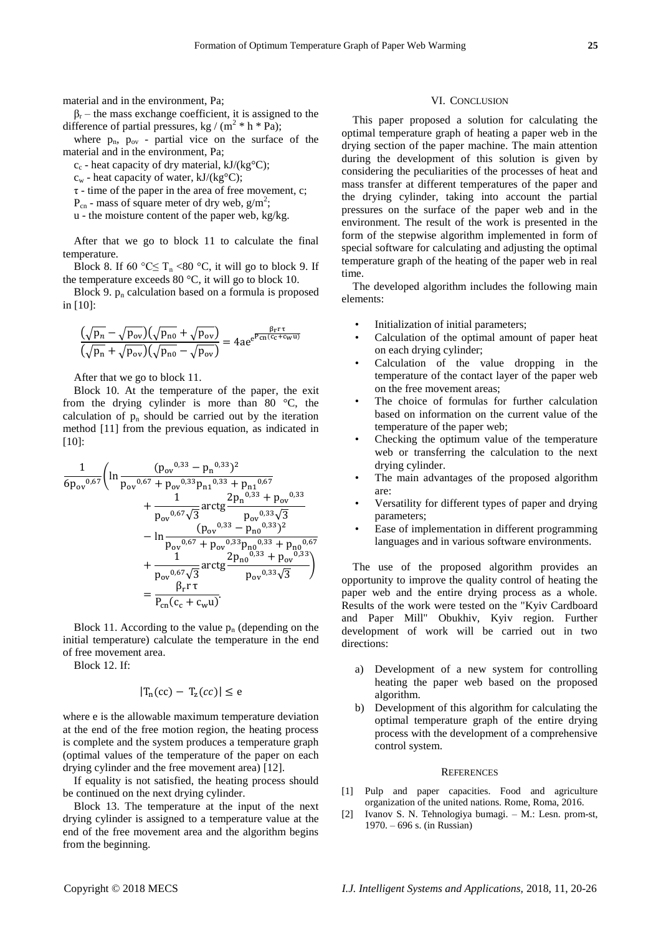$\beta_r$  – the mass exchange coefficient, it is assigned to the difference of partial pressures, kg /  $(m^2 * h * Pa)$ ;

where  $p_n$ ,  $p_{ov}$  - partial vice on the surface of the material and in the environment, Pa;

 $c_c$  - heat capacity of dry material, kJ/(kg °C);

 $c_w$  - heat capacity of water, kJ/(kg °C);

 $\tau$  - time of the paper in the area of free movement, c;

 $P_{cn}$  - mass of square meter of dry web,  $g/m^2$ ;

u - the moisture content of the paper web, kg/kg.

After that we go to block 11 to calculate the final temperature.

Block 8. If 60 °C  $\leq T_n$  <80 °C, it will go to block 9. If the temperature exceeds 80  $\mathcal{C}$ , it will go to block 10.

Block 9.  $p_n$  calculation based on a formula is proposed in [10]:

$$
\frac{(\sqrt{p_n}-\sqrt{p_{ov}})(\sqrt{p_{no}}+\sqrt{p_{ov}})}{(\sqrt{p_n}+\sqrt{p_{ov}})(\sqrt{p_{no}}-\sqrt{p_{ov}})} = 4ae^{e^{\frac{\beta_r r \tau}{\rho_{cn}(c_c+c_w \tau)}}
$$

After that we go to block 11.

Block 10. At the temperature of the paper, the exit from the drying cylinder is more than 80  $\degree$ C, the calculation of  $p_n$  should be carried out by the iteration method [11] from the previous equation, as indicated in [10]:

$$
\frac{1}{6p_{ov}^{0.67}} \left( \ln \frac{(p_{ov}^{0.33} - p_n^{0.33})^2}{p_{ov}^{0.67} + p_{ov}^{0.33}p_{n1}^{0.33} + p_{n1}^{0.67}} + \frac{1}{p_{ov}^{0.67}\sqrt{3}} \arctg \frac{2p_n^{0.33} + p_{ov}^{0.33}}{p_{ov}^{0.33}\sqrt{3}} - \ln \frac{(p_{ov}^{0.33} - p_{n0}^{0.33})^2}{p_{ov}^{0.67} + p_{ov}^{0.33}p_{n0}^{0.33} + p_{n0}^{0.67}} + \frac{1}{p_{ov}^{0.67}\sqrt{3}} \arctg \frac{2p_{no}^{0.33} + p_{ov}^{0.33}}{p_{ov}^{0.33}\sqrt{3}} \right)
$$
\n
$$
= \frac{\beta_r r \tau}{p_{cn}(c_c + c_w u)}.
$$

Block 11. According to the value  $p_n$  (depending on the initial temperature) calculate the temperature in the end of free movement area.

Block 12. If:

$$
|T_n(cc) - T_z(cc)| \leq e
$$

where e is the allowable maximum temperature deviation at the end of the free motion region, the heating process is complete and the system produces a temperature graph (optimal values of the temperature of the paper on each drying cylinder and the free movement area) [12].

If equality is not satisfied, the heating process should be continued on the next drying cylinder.

Block 13. The temperature at the input of the next drying cylinder is assigned to a temperature value at the end of the free movement area and the algorithm begins from the beginning.

#### VI. CONCLUSION

This paper proposed a solution for calculating the optimal temperature graph of heating a paper web in the drying section of the paper machine. The main attention during the development of this solution is given by considering the peculiarities of the processes of heat and mass transfer at different temperatures of the paper and the drying cylinder, taking into account the partial pressures on the surface of the paper web and in the environment. The result of the work is presented in the form of the stepwise algorithm implemented in form of special software for calculating and adjusting the optimal temperature graph of the heating of the paper web in real time.

The developed algorithm includes the following main elements:

- Initialization of initial parameters:
- Calculation of the optimal amount of paper heat on each drying cylinder;
- Calculation of the value dropping in the temperature of the contact layer of the paper web on the free movement areas;
- The choice of formulas for further calculation based on information on the current value of the temperature of the paper web;
- Checking the optimum value of the temperature web or transferring the calculation to the next drying cylinder.
- The main advantages of the proposed algorithm are:
- Versatility for different types of paper and drying parameters;
- Ease of implementation in different programming languages and in various software environments.

The use of the proposed algorithm provides an opportunity to improve the quality control of heating the paper web and the entire drying process as a whole. Results of the work were tested on the "Kyiv Cardboard and Paper Mill" Obukhiv, Kyiv region. Further development of work will be carried out in two directions:

- a) Development of a new system for controlling heating the paper web based on the proposed algorithm.
- b) Development of this algorithm for calculating the optimal temperature graph of the entire drying process with the development of a comprehensive control system.

#### **REFERENCES**

- [1] Pulp and paper capacities. Food and agriculture organization of the united nations. Rome, Roma, 2016.
- [2] Ivanov S. N. Tehnologiya bumagi. M.: Lesn. prom-st, 1970. – 696 s. (in Russian)